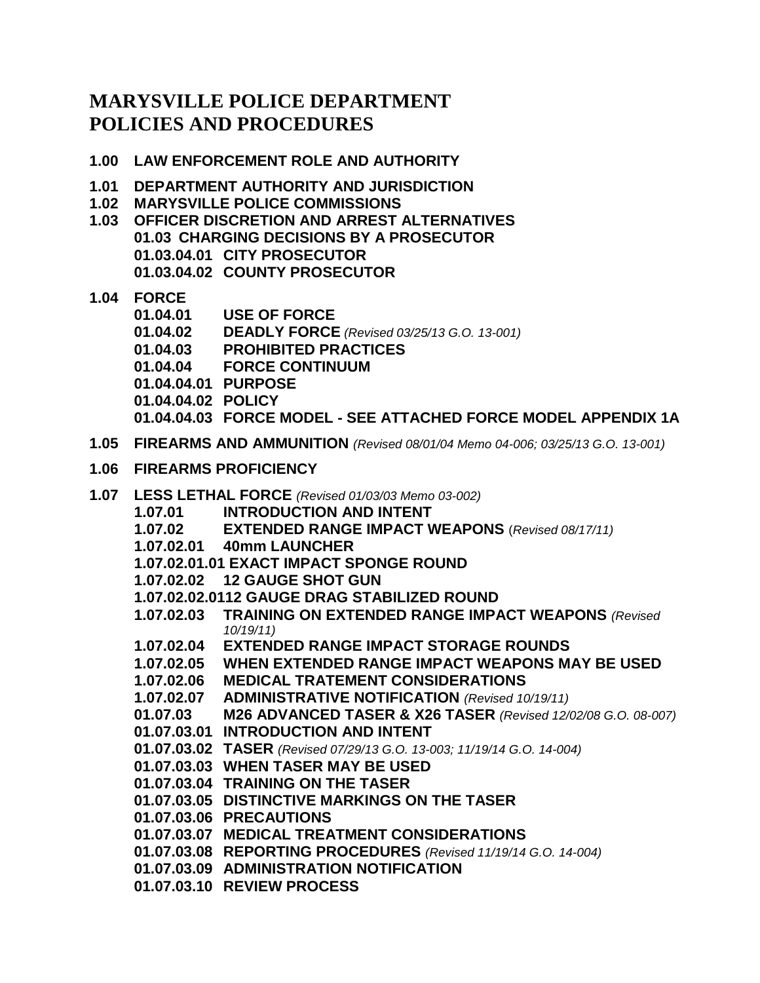# **MARYSVILLE POLICE DEPARTMENT POLICIES AND PROCEDURES**

#### **1.00 LAW ENFORCEMENT ROLE AND AUTHORITY**

- **1.01 DEPARTMENT AUTHORITY AND JURISDICTION**
- **1.02 MARYSVILLE POLICE COMMISSIONS**
- **1.03 OFFICER DISCRETION AND ARREST ALTERNATIVES 01.03 CHARGING DECISIONS BY A PROSECUTOR 01.03.04.01 CITY PROSECUTOR 01.03.04.02 COUNTY PROSECUTOR**
- **1.04 FORCE**
	- **01.04.01 USE OF FORCE**
	- **01.04.02 DEADLY FORCE** *(Revised 03/25/13 G.O. 13-001)*
	- **01.04.03 PROHIBITED PRACTICES**
	- **01.04.04 FORCE CONTINUUM**
	- **01.04.04.01 PURPOSE**
	- **01.04.04.02 POLICY**

### **01.04.04.03 FORCE MODEL - SEE ATTACHED FORCE MODEL APPENDIX 1A**

- **1.05 FIREARMS AND AMMUNITION** *(Revised 08/01/04 Memo 04-006; 03/25/13 G.O. 13-001)*
- **1.06 FIREARMS PROFICIENCY**
- **1.07 LESS LETHAL FORCE** *(Revised 01/03/03 Memo 03-002)*
	- **1.07.01 INTRODUCTION AND INTENT**
	- **1.07.02 EXTENDED RANGE IMPACT WEAPONS** (*Revised 08/17/11)*
	- **1.07.02.01 40mm LAUNCHER**
	- **1.07.02.01.01 EXACT IMPACT SPONGE ROUND**
	- **1.07.02.02 12 GAUGE SHOT GUN**
	- **1.07.02.02.0112 GAUGE DRAG STABILIZED ROUND**
	- **1.07.02.03 TRAINING ON EXTENDED RANGE IMPACT WEAPONS** *(Revised 10/19/11)*
	- **1.07.02.04 EXTENDED RANGE IMPACT STORAGE ROUNDS**
	- **1.07.02.05 WHEN EXTENDED RANGE IMPACT WEAPONS MAY BE USED**
	- **1.07.02.06 MEDICAL TRATEMENT CONSIDERATIONS**
	- **1.07.02.07 ADMINISTRATIVE NOTIFICATION** *(Revised 10/19/11)*
	- **01.07.03 M26 ADVANCED TASER & X26 TASER** *(Revised 12/02/08 G.O. 08-007)*
	- **01.07.03.01 INTRODUCTION AND INTENT**
	- **01.07.03.02 TASER** *(Revised 07/29/13 G.O. 13-003; 11/19/14 G.O. 14-004)*
	- **01.07.03.03 WHEN TASER MAY BE USED**
	- **01.07.03.04 TRAINING ON THE TASER**
	- **01.07.03.05 DISTINCTIVE MARKINGS ON THE TASER**
	- **01.07.03.06 PRECAUTIONS**
	- **01.07.03.07 MEDICAL TREATMENT CONSIDERATIONS**
	- **01.07.03.08 REPORTING PROCEDURES** *(Revised 11/19/14 G.O. 14-004)*
	- **01.07.03.09 ADMINISTRATION NOTIFICATION**
	- **01.07.03.10 REVIEW PROCESS**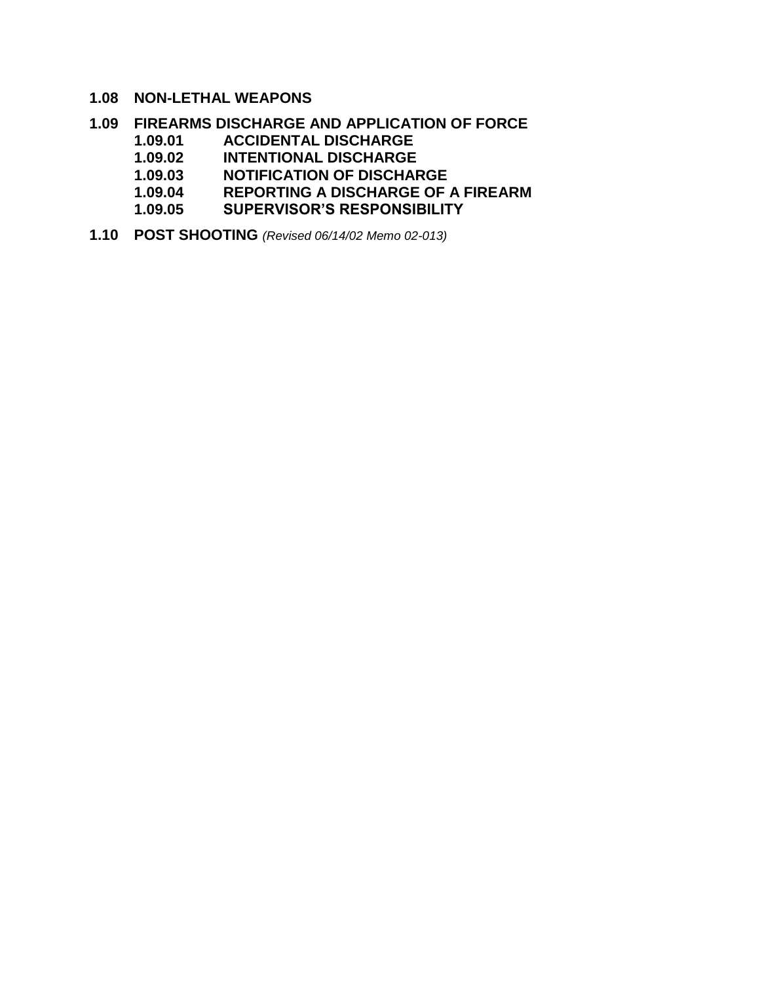#### **1.08 NON-LETHAL WEAPONS**

#### **1.09 FIREARMS DISCHARGE AND APPLICATION OF FORCE**

- **1.09.01 ACCIDENTAL DISCHARGE**
- **1.09.02 INTENTIONAL DISCHARGE**
- **1.09.03 NOTIFICATION OF DISCHARGE**
- **1.09.04 REPORTING A DISCHARGE OF A FIREARM**
- **1.09.05 SUPERVISOR'S RESPONSIBILITY**
- **1.10 POST SHOOTING** *(Revised 06/14/02 Memo 02-013)*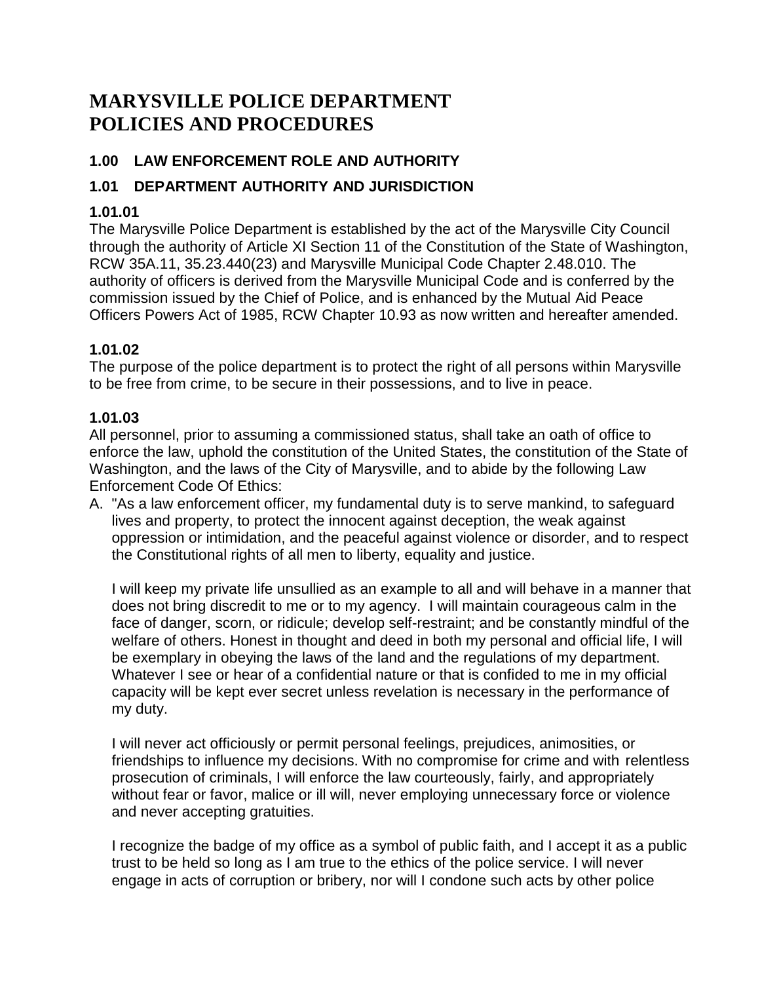# **MARYSVILLE POLICE DEPARTMENT POLICIES AND PROCEDURES**

### **1.00 LAW ENFORCEMENT ROLE AND AUTHORITY**

## **1.01 DEPARTMENT AUTHORITY AND JURISDICTION**

## **[1.01.01](Chapter%201.doc)**

[The Marysville Police Department is established by the act of the Marysville City Council](Chapter%201.doc)  [through the authority of Article XI Section 11 of the Constitution of the State of Washington,](Chapter%201.doc)  [RCW 35A.11, 35.23.440\(23\) and Marysville Municipal Code Chapter 2.48.010. The](Chapter%201.doc)  [authority of officers is derived from the Marysville Municipal Code and is conferred by the](Chapter%201.doc)  [commission issued by the Chief of Police, and is enhanced by the Mutual Aid Peace](Chapter%201.doc)  [Officers Powers Act of 1985, RCW Chapter 10.93 as now written and hereafter amended.](Chapter%201.doc)

## **1.01.02**

The purpose of the police department is to protect the right of all persons within Marysville to be free from crime, to be secure in their possessions, and to live in peace.

### **1.01.03**

All personnel, prior to assuming a commissioned status, shall take an oath of office to enforce the law, uphold the constitution of the United States, the constitution of the State of Washington, and the laws of the City of Marysville, and to abide by the following Law Enforcement Code Of Ethics:

A. "As a law enforcement officer, my fundamental duty is to serve mankind, to safeguard lives and property, to protect the innocent against deception, the weak against oppression or intimidation, and the peaceful against violence or disorder, and to respect the Constitutional rights of all men to liberty, equality and justice.

I will keep my private life unsullied as an example to all and will behave in a manner that does not bring discredit to me or to my agency. I will maintain courageous calm in the face of danger, scorn, or ridicule; develop self-restraint; and be constantly mindful of the welfare of others. Honest in thought and deed in both my personal and official life, I will be exemplary in obeying the laws of the land and the regulations of my department. Whatever I see or hear of a confidential nature or that is confided to me in my official capacity will be kept ever secret unless revelation is necessary in the performance of my duty.

I will never act officiously or permit personal feelings, prejudices, animosities, or friendships to influence my decisions. With no compromise for crime and with relentless prosecution of criminals, I will enforce the law courteously, fairly, and appropriately without fear or favor, malice or ill will, never employing unnecessary force or violence and never accepting gratuities.

I recognize the badge of my office as a symbol of public faith, and I accept it as a public trust to be held so long as I am true to the ethics of the police service. I will never engage in acts of corruption or bribery, nor will I condone such acts by other police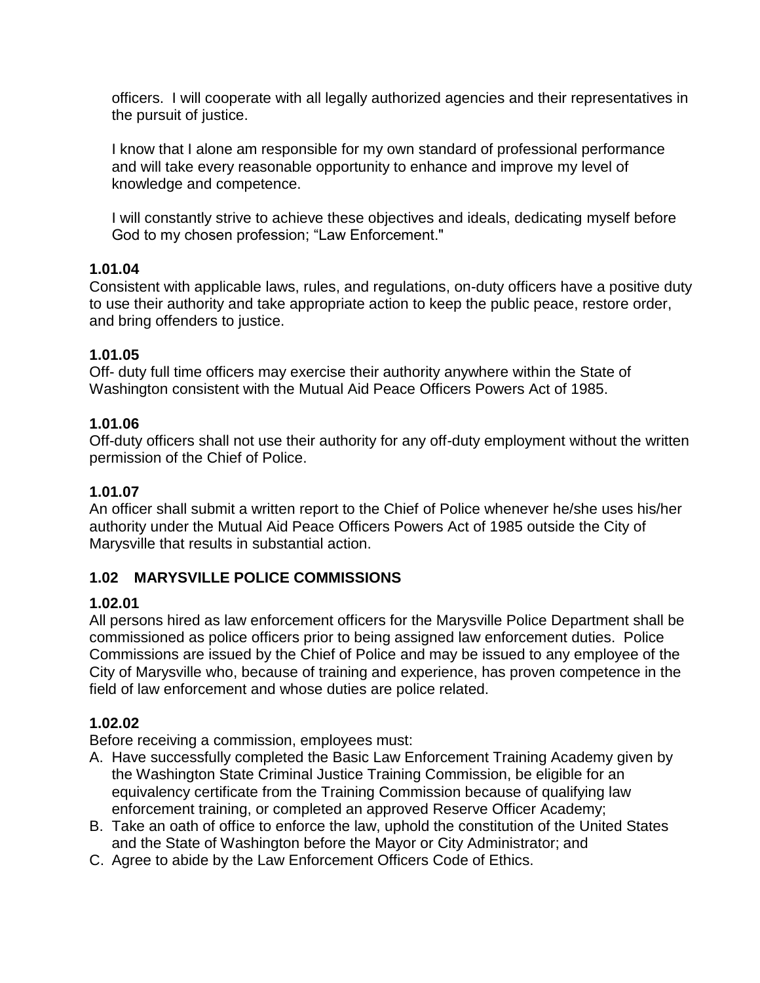officers. I will cooperate with all legally authorized agencies and their representatives in the pursuit of justice.

I know that I alone am responsible for my own standard of professional performance and will take every reasonable opportunity to enhance and improve my level of knowledge and competence.

I will constantly strive to achieve these objectives and ideals, dedicating myself before God to my chosen profession; "Law Enforcement."

### **1.01.04**

Consistent with applicable laws, rules, and regulations, on-duty officers have a positive duty to use their authority and take appropriate action to keep the public peace, restore order, and bring offenders to justice.

### **1.01.05**

Off- duty full time officers may exercise their authority anywhere within the State of Washington consistent with the Mutual Aid Peace Officers Powers Act of 1985.

### **1.01.06**

Off-duty officers shall not use their authority for any off-duty employment without the written permission of the Chief of Police.

### **1.01.07**

An officer shall submit a written report to the Chief of Police whenever he/she uses his/her authority under the Mutual Aid Peace Officers Powers Act of 1985 outside the City of Marysville that results in substantial action.

### **1.02 MARYSVILLE POLICE COMMISSIONS**

### **1.02.01**

All persons hired as law enforcement officers for the Marysville Police Department shall be commissioned as police officers prior to being assigned law enforcement duties. Police Commissions are issued by the Chief of Police and may be issued to any employee of the City of Marysville who, because of training and experience, has proven competence in the field of law enforcement and whose duties are police related.

### **1.02.02**

Before receiving a commission, employees must:

- A. Have successfully completed the Basic Law Enforcement Training Academy given by the Washington State Criminal Justice Training Commission, be eligible for an equivalency certificate from the Training Commission because of qualifying law enforcement training, or completed an approved Reserve Officer Academy;
- B. Take an oath of office to enforce the law, uphold the constitution of the United States and the State of Washington before the Mayor or City Administrator; and
- C. Agree to abide by the Law Enforcement Officers Code of Ethics.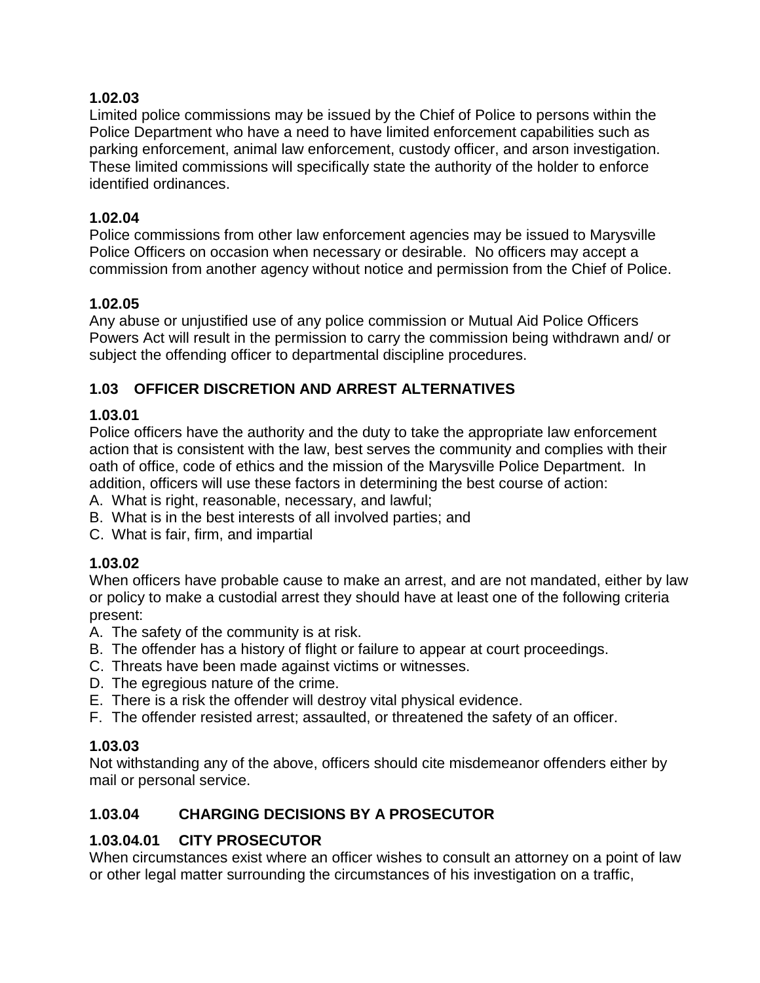### **1.02.03**

Limited police commissions may be issued by the Chief of Police to persons within the Police Department who have a need to have limited enforcement capabilities such as parking enforcement, animal law enforcement, custody officer, and arson investigation. These limited commissions will specifically state the authority of the holder to enforce identified ordinances.

### **1.02.04**

Police commissions from other law enforcement agencies may be issued to Marysville Police Officers on occasion when necessary or desirable. No officers may accept a commission from another agency without notice and permission from the Chief of Police.

### **1.02.05**

Any abuse or unjustified use of any police commission or Mutual Aid Police Officers Powers Act will result in the permission to carry the commission being withdrawn and/ or subject the offending officer to departmental discipline procedures.

### **1.03 OFFICER DISCRETION AND ARREST ALTERNATIVES**

### **1.03.01**

Police officers have the authority and the duty to take the appropriate law enforcement action that is consistent with the law, best serves the community and complies with their oath of office, code of ethics and the mission of the Marysville Police Department. In addition, officers will use these factors in determining the best course of action:

- A. What is right, reasonable, necessary, and lawful;
- B. What is in the best interests of all involved parties; and
- C. What is fair, firm, and impartial

### **1.03.02**

When officers have probable cause to make an arrest, and are not mandated, either by law or policy to make a custodial arrest they should have at least one of the following criteria present:

- A. The safety of the community is at risk.
- B. The offender has a history of flight or failure to appear at court proceedings.
- C. Threats have been made against victims or witnesses.
- D. The egregious nature of the crime.
- E. There is a risk the offender will destroy vital physical evidence.
- F. The offender resisted arrest; assaulted, or threatened the safety of an officer.

### **1.03.03**

Not withstanding any of the above, officers should cite misdemeanor offenders either by mail or personal service.

### **1.03.04 CHARGING DECISIONS BY A PROSECUTOR**

### **1.03.04.01 CITY PROSECUTOR**

When circumstances exist where an officer wishes to consult an attorney on a point of law or other legal matter surrounding the circumstances of his investigation on a traffic,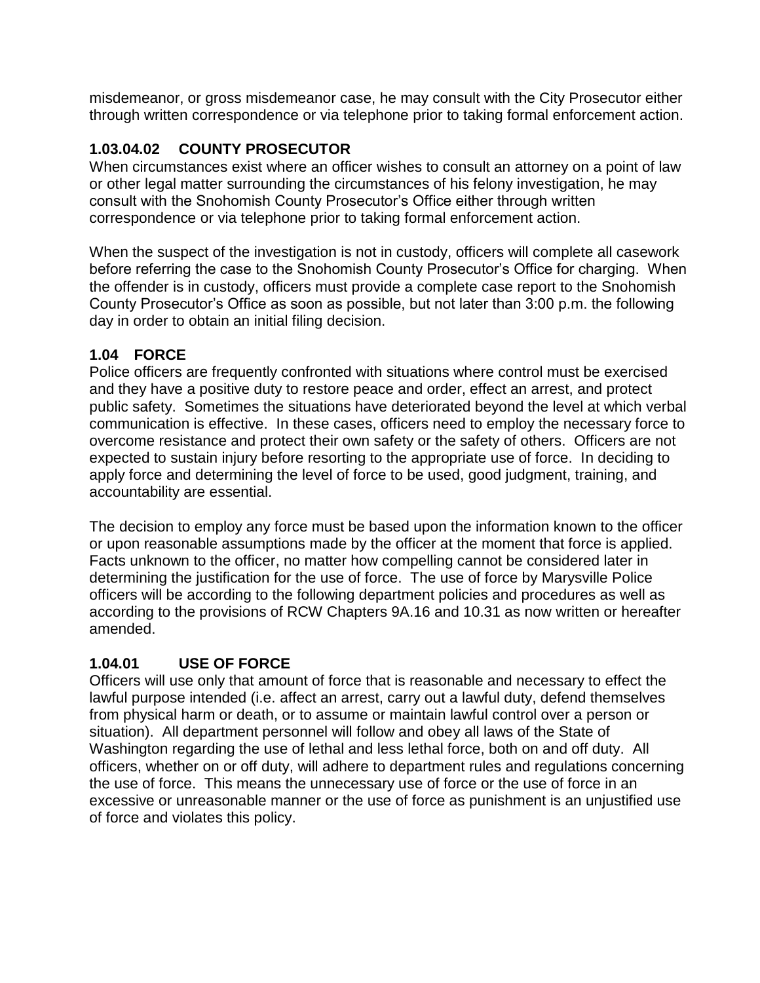misdemeanor, or gross misdemeanor case, he may consult with the City Prosecutor either through written correspondence or via telephone prior to taking formal enforcement action.

### **1.03.04.02 COUNTY PROSECUTOR**

When circumstances exist where an officer wishes to consult an attorney on a point of law or other legal matter surrounding the circumstances of his felony investigation, he may consult with the Snohomish County Prosecutor's Office either through written correspondence or via telephone prior to taking formal enforcement action.

When the suspect of the investigation is not in custody, officers will complete all casework before referring the case to the Snohomish County Prosecutor's Office for charging. When the offender is in custody, officers must provide a complete case report to the Snohomish County Prosecutor's Office as soon as possible, but not later than 3:00 p.m. the following day in order to obtain an initial filing decision.

### **1.04 FORCE**

Police officers are frequently confronted with situations where control must be exercised and they have a positive duty to restore peace and order, effect an arrest, and protect public safety. Sometimes the situations have deteriorated beyond the level at which verbal communication is effective. In these cases, officers need to employ the necessary force to overcome resistance and protect their own safety or the safety of others. Officers are not expected to sustain injury before resorting to the appropriate use of force. In deciding to apply force and determining the level of force to be used, good judgment, training, and accountability are essential.

The decision to employ any force must be based upon the information known to the officer or upon reasonable assumptions made by the officer at the moment that force is applied. Facts unknown to the officer, no matter how compelling cannot be considered later in determining the justification for the use of force. The use of force by Marysville Police officers will be according to the following department policies and procedures as well as according to the provisions of RCW Chapters 9A.16 and 10.31 as now written or hereafter amended.

### **1.04.01 USE OF FORCE**

Officers will use only that amount of force that is reasonable and necessary to effect the lawful purpose intended (i.e. affect an arrest, carry out a lawful duty, defend themselves from physical harm or death, or to assume or maintain lawful control over a person or situation). All department personnel will follow and obey all laws of the State of Washington regarding the use of lethal and less lethal force, both on and off duty. All officers, whether on or off duty, will adhere to department rules and regulations concerning the use of force. This means the unnecessary use of force or the use of force in an excessive or unreasonable manner or the use of force as punishment is an unjustified use of force and violates this policy.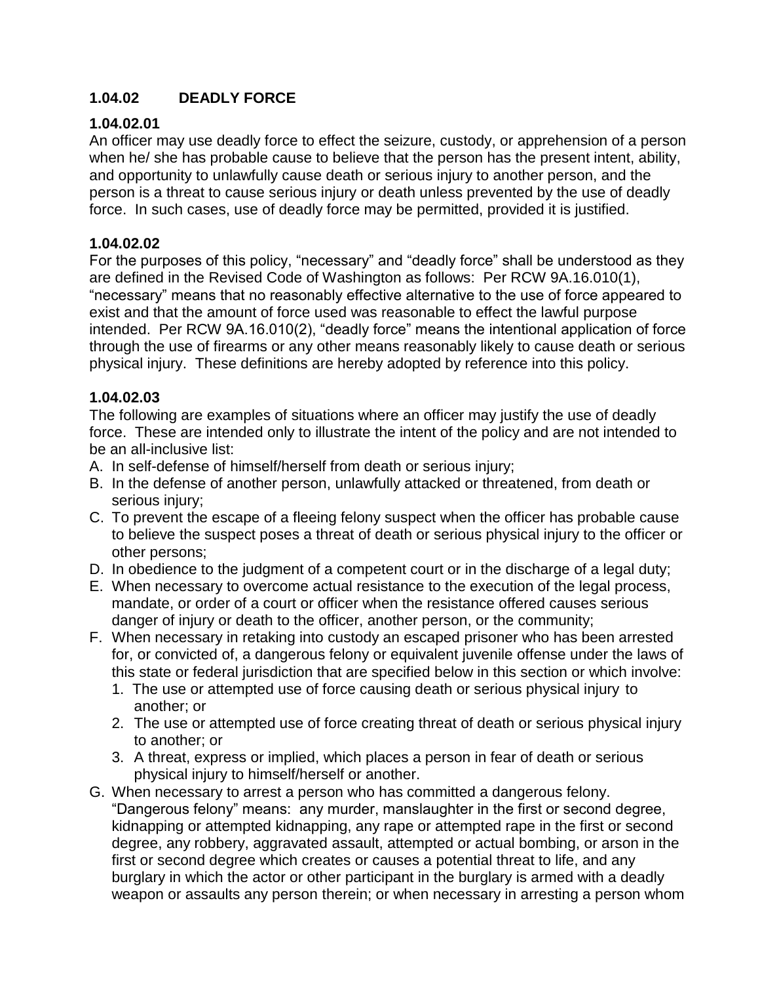### **1.04.02 DEADLY FORCE**

### **1.04.02.01**

An officer may use deadly force to effect the seizure, custody, or apprehension of a person when he/ she has probable cause to believe that the person has the present intent, ability, and opportunity to unlawfully cause death or serious injury to another person, and the person is a threat to cause serious injury or death unless prevented by the use of deadly force. In such cases, use of deadly force may be permitted, provided it is justified.

#### **1.04.02.02**

For the purposes of this policy, "necessary" and "deadly force" shall be understood as they are defined in the Revised Code of Washington as follows: Per RCW 9A.16.010(1), "necessary" means that no reasonably effective alternative to the use of force appeared to exist and that the amount of force used was reasonable to effect the lawful purpose intended. Per RCW 9A.16.010(2), "deadly force" means the intentional application of force through the use of firearms or any other means reasonably likely to cause death or serious physical injury. These definitions are hereby adopted by reference into this policy.

#### **1.04.02.03**

The following are examples of situations where an officer may justify the use of deadly force. These are intended only to illustrate the intent of the policy and are not intended to be an all-inclusive list:

- A. In self-defense of himself/herself from death or serious injury;
- B. In the defense of another person, unlawfully attacked or threatened, from death or serious injury;
- C. To prevent the escape of a fleeing felony suspect when the officer has probable cause to believe the suspect poses a threat of death or serious physical injury to the officer or other persons;
- D. In obedience to the judgment of a competent court or in the discharge of a legal duty;
- E. When necessary to overcome actual resistance to the execution of the legal process, mandate, or order of a court or officer when the resistance offered causes serious danger of injury or death to the officer, another person, or the community;
- F. When necessary in retaking into custody an escaped prisoner who has been arrested for, or convicted of, a dangerous felony or equivalent juvenile offense under the laws of this state or federal jurisdiction that are specified below in this section or which involve:
	- 1. The use or attempted use of force causing death or serious physical injury to another; or
	- 2. The use or attempted use of force creating threat of death or serious physical injury to another; or
	- 3. A threat, express or implied, which places a person in fear of death or serious physical injury to himself/herself or another.
- G. When necessary to arrest a person who has committed a dangerous felony. "Dangerous felony" means: any murder, manslaughter in the first or second degree, kidnapping or attempted kidnapping, any rape or attempted rape in the first or second degree, any robbery, aggravated assault, attempted or actual bombing, or arson in the first or second degree which creates or causes a potential threat to life, and any burglary in which the actor or other participant in the burglary is armed with a deadly weapon or assaults any person therein; or when necessary in arresting a person whom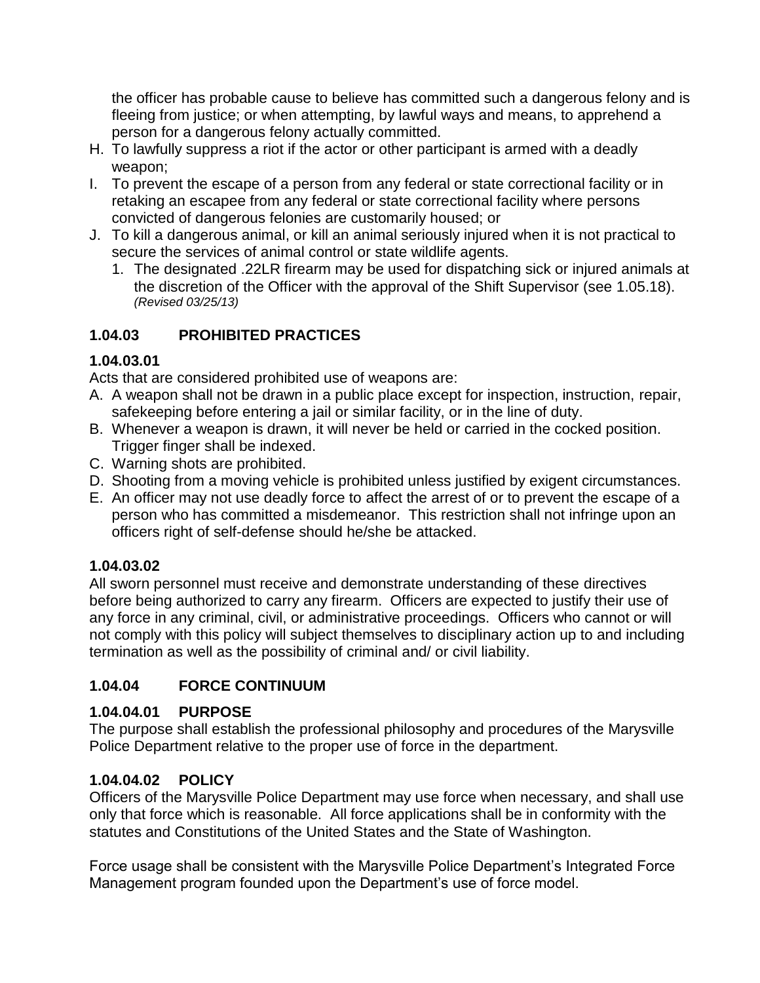the officer has probable cause to believe has committed such a dangerous felony and is fleeing from justice; or when attempting, by lawful ways and means, to apprehend a person for a dangerous felony actually committed.

- H. To lawfully suppress a riot if the actor or other participant is armed with a deadly weapon;
- I. To prevent the escape of a person from any federal or state correctional facility or in retaking an escapee from any federal or state correctional facility where persons convicted of dangerous felonies are customarily housed; or
- J. To kill a dangerous animal, or kill an animal seriously injured when it is not practical to secure the services of animal control or state wildlife agents.
	- 1. The designated .22LR firearm may be used for dispatching sick or injured animals at the discretion of the Officer with the approval of the Shift Supervisor (see 1.05.18). *(Revised 03/25/13)*

## **1.04.03 PROHIBITED PRACTICES**

### **1.04.03.01**

Acts that are considered prohibited use of weapons are:

- A. A weapon shall not be drawn in a public place except for inspection, instruction, repair, safekeeping before entering a jail or similar facility, or in the line of duty.
- B. Whenever a weapon is drawn, it will never be held or carried in the cocked position. Trigger finger shall be indexed.
- C. Warning shots are prohibited.
- D. Shooting from a moving vehicle is prohibited unless justified by exigent circumstances.
- E. An officer may not use deadly force to affect the arrest of or to prevent the escape of a person who has committed a misdemeanor. This restriction shall not infringe upon an officers right of self-defense should he/she be attacked.

### **1.04.03.02**

All sworn personnel must receive and demonstrate understanding of these directives before being authorized to carry any firearm. Officers are expected to justify their use of any force in any criminal, civil, or administrative proceedings. Officers who cannot or will not comply with this policy will subject themselves to disciplinary action up to and including termination as well as the possibility of criminal and/ or civil liability.

## **1.04.04 FORCE CONTINUUM**

### **1.04.04.01 PURPOSE**

The purpose shall establish the professional philosophy and procedures of the Marysville Police Department relative to the proper use of force in the department.

### **1.04.04.02 POLICY**

Officers of the Marysville Police Department may use force when necessary, and shall use only that force which is reasonable. All force applications shall be in conformity with the statutes and Constitutions of the United States and the State of Washington.

Force usage shall be consistent with the Marysville Police Department's Integrated Force Management program founded upon the Department's use of force model.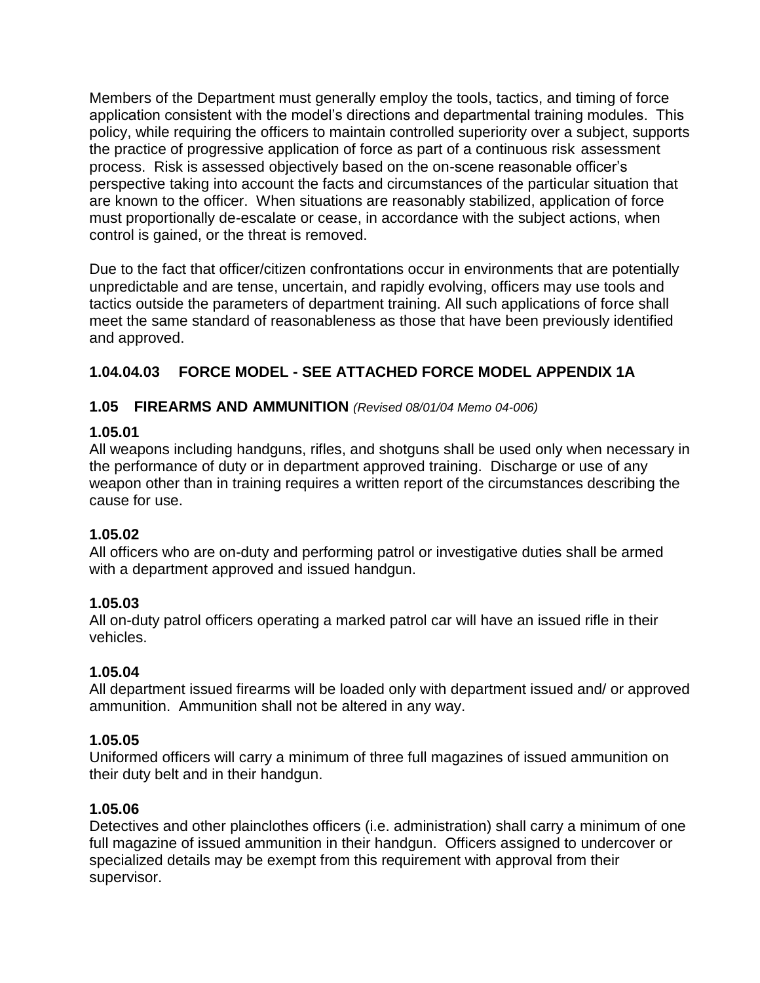Members of the Department must generally employ the tools, tactics, and timing of force application consistent with the model's directions and departmental training modules. This policy, while requiring the officers to maintain controlled superiority over a subject, supports the practice of progressive application of force as part of a continuous risk assessment process. Risk is assessed objectively based on the on-scene reasonable officer's perspective taking into account the facts and circumstances of the particular situation that are known to the officer. When situations are reasonably stabilized, application of force must proportionally de-escalate or cease, in accordance with the subject actions, when control is gained, or the threat is removed.

Due to the fact that officer/citizen confrontations occur in environments that are potentially unpredictable and are tense, uncertain, and rapidly evolving, officers may use tools and tactics outside the parameters of department training. All such applications of force shall meet the same standard of reasonableness as those that have been previously identified and approved.

### **1.04.04.03 FORCE MODEL - SEE ATTACHED FORCE MODEL APPENDIX 1A**

#### **1.05 FIREARMS AND AMMUNITION** *(Revised 08/01/04 Memo 04-006)*

#### **1.05.01**

All weapons including handguns, rifles, and shotguns shall be used only when necessary in the performance of duty or in department approved training. Discharge or use of any weapon other than in training requires a written report of the circumstances describing the cause for use.

### **1.05.02**

All officers who are on-duty and performing patrol or investigative duties shall be armed with a department approved and issued handgun.

### **1.05.03**

All on-duty patrol officers operating a marked patrol car will have an issued rifle in their vehicles.

### **1.05.04**

All department issued firearms will be loaded only with department issued and/ or approved ammunition. Ammunition shall not be altered in any way.

### **1.05.05**

Uniformed officers will carry a minimum of three full magazines of issued ammunition on their duty belt and in their handgun.

### **1.05.06**

Detectives and other plainclothes officers (i.e. administration) shall carry a minimum of one full magazine of issued ammunition in their handgun. Officers assigned to undercover or specialized details may be exempt from this requirement with approval from their supervisor.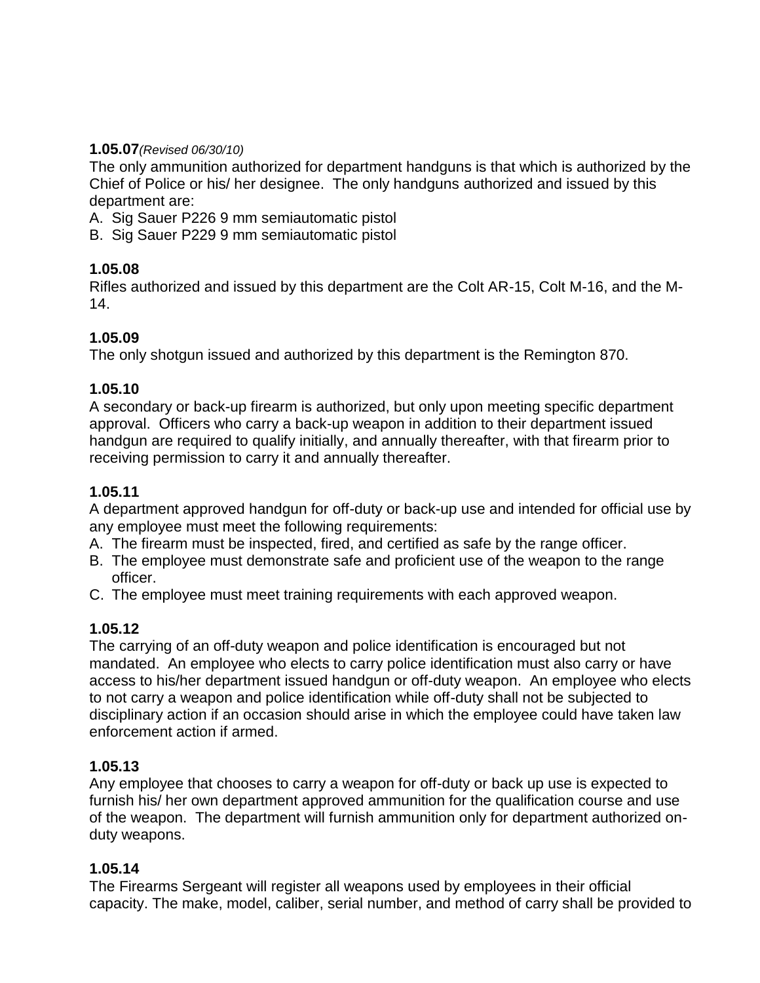#### **1.05.07***(Revised 06/30/10)*

The only ammunition authorized for department handguns is that which is authorized by the Chief of Police or his/ her designee. The only handguns authorized and issued by this department are:

- A. Sig Sauer P226 9 mm semiautomatic pistol
- B. Sig Sauer P229 9 mm semiautomatic pistol

#### **1.05.08**

Rifles authorized and issued by this department are the Colt AR-15, Colt M-16, and the M-14.

### **1.05.09**

The only shotgun issued and authorized by this department is the Remington 870.

### **1.05.10**

A secondary or back-up firearm is authorized, but only upon meeting specific department approval. Officers who carry a back-up weapon in addition to their department issued handgun are required to qualify initially, and annually thereafter, with that firearm prior to receiving permission to carry it and annually thereafter.

### **1.05.11**

A department approved handgun for off-duty or back-up use and intended for official use by any employee must meet the following requirements:

- A. The firearm must be inspected, fired, and certified as safe by the range officer.
- B. The employee must demonstrate safe and proficient use of the weapon to the range officer.
- C. The employee must meet training requirements with each approved weapon.

### **1.05.12**

The carrying of an off-duty weapon and police identification is encouraged but not mandated. An employee who elects to carry police identification must also carry or have access to his/her department issued handgun or off-duty weapon. An employee who elects to not carry a weapon and police identification while off-duty shall not be subjected to disciplinary action if an occasion should arise in which the employee could have taken law enforcement action if armed.

### **1.05.13**

Any employee that chooses to carry a weapon for off-duty or back up use is expected to furnish his/ her own department approved ammunition for the qualification course and use of the weapon. The department will furnish ammunition only for department authorized onduty weapons.

### **1.05.14**

The Firearms Sergeant will register all weapons used by employees in their official capacity. The make, model, caliber, serial number, and method of carry shall be provided to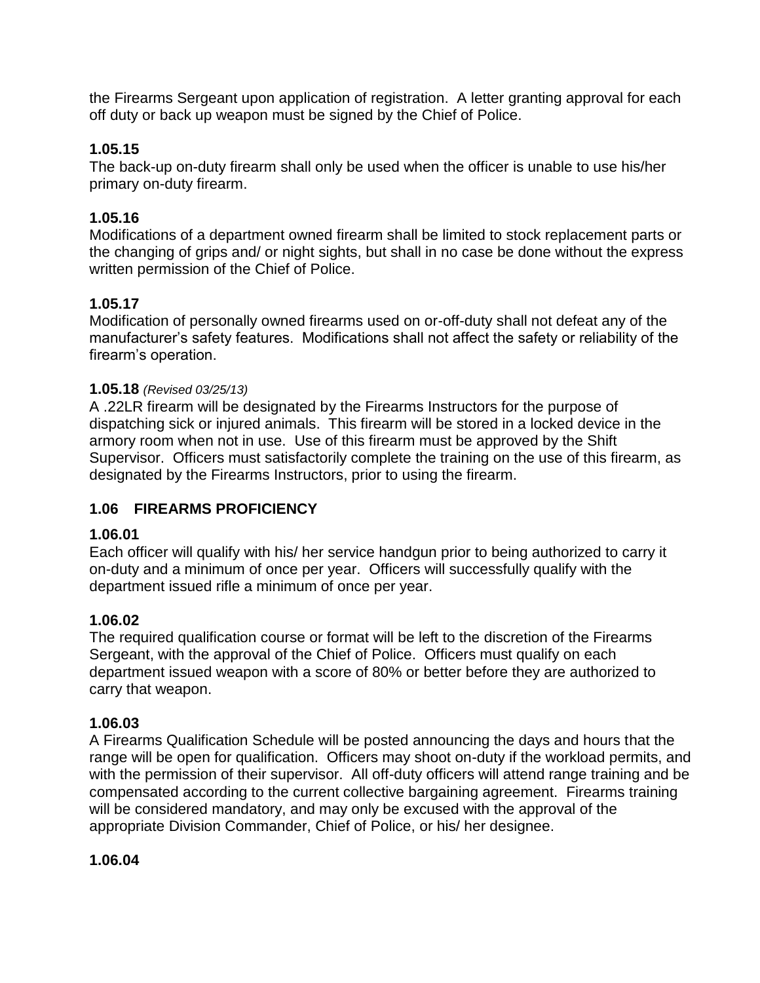the Firearms Sergeant upon application of registration. A letter granting approval for each off duty or back up weapon must be signed by the Chief of Police.

### **1.05.15**

The back-up on-duty firearm shall only be used when the officer is unable to use his/her primary on-duty firearm.

### **1.05.16**

Modifications of a department owned firearm shall be limited to stock replacement parts or the changing of grips and/ or night sights, but shall in no case be done without the express written permission of the Chief of Police.

### **1.05.17**

Modification of personally owned firearms used on or-off-duty shall not defeat any of the manufacturer's safety features. Modifications shall not affect the safety or reliability of the firearm's operation.

### **1.05.18** *(Revised 03/25/13)*

A .22LR firearm will be designated by the Firearms Instructors for the purpose of dispatching sick or injured animals. This firearm will be stored in a locked device in the armory room when not in use. Use of this firearm must be approved by the Shift Supervisor. Officers must satisfactorily complete the training on the use of this firearm, as designated by the Firearms Instructors, prior to using the firearm.

### **1.06 FIREARMS PROFICIENCY**

### **1.06.01**

Each officer will qualify with his/ her service handgun prior to being authorized to carry it on-duty and a minimum of once per year. Officers will successfully qualify with the department issued rifle a minimum of once per year.

### **1.06.02**

The required qualification course or format will be left to the discretion of the Firearms Sergeant, with the approval of the Chief of Police. Officers must qualify on each department issued weapon with a score of 80% or better before they are authorized to carry that weapon.

### **1.06.03**

A Firearms Qualification Schedule will be posted announcing the days and hours that the range will be open for qualification. Officers may shoot on-duty if the workload permits, and with the permission of their supervisor. All off-duty officers will attend range training and be compensated according to the current collective bargaining agreement. Firearms training will be considered mandatory, and may only be excused with the approval of the appropriate Division Commander, Chief of Police, or his/ her designee.

### **1.06.04**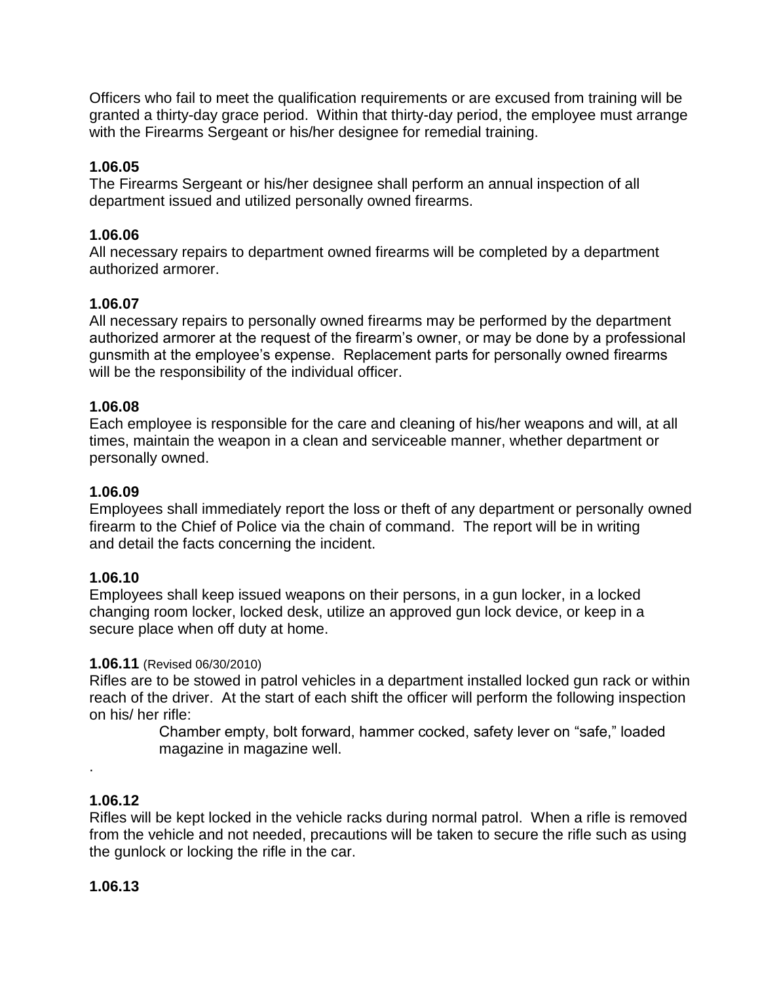Officers who fail to meet the qualification requirements or are excused from training will be granted a thirty-day grace period. Within that thirty-day period, the employee must arrange with the Firearms Sergeant or his/her designee for remedial training.

### **1.06.05**

The Firearms Sergeant or his/her designee shall perform an annual inspection of all department issued and utilized personally owned firearms.

### **1.06.06**

All necessary repairs to department owned firearms will be completed by a department authorized armorer.

### **1.06.07**

All necessary repairs to personally owned firearms may be performed by the department authorized armorer at the request of the firearm's owner, or may be done by a professional gunsmith at the employee's expense. Replacement parts for personally owned firearms will be the responsibility of the individual officer.

#### **1.06.08**

Each employee is responsible for the care and cleaning of his/her weapons and will, at all times, maintain the weapon in a clean and serviceable manner, whether department or personally owned.

#### **1.06.09**

Employees shall immediately report the loss or theft of any department or personally owned firearm to the Chief of Police via the chain of command. The report will be in writing and detail the facts concerning the incident.

#### **1.06.10**

Employees shall keep issued weapons on their persons, in a gun locker, in a locked changing room locker, locked desk, utilize an approved gun lock device, or keep in a secure place when off duty at home.

#### **1.06.11** (Revised 06/30/2010)

Rifles are to be stowed in patrol vehicles in a department installed locked gun rack or within reach of the driver. At the start of each shift the officer will perform the following inspection on his/ her rifle:

> Chamber empty, bolt forward, hammer cocked, safety lever on "safe," loaded magazine in magazine well.

#### **1.06.12**

.

Rifles will be kept locked in the vehicle racks during normal patrol. When a rifle is removed from the vehicle and not needed, precautions will be taken to secure the rifle such as using the gunlock or locking the rifle in the car.

#### **1.06.13**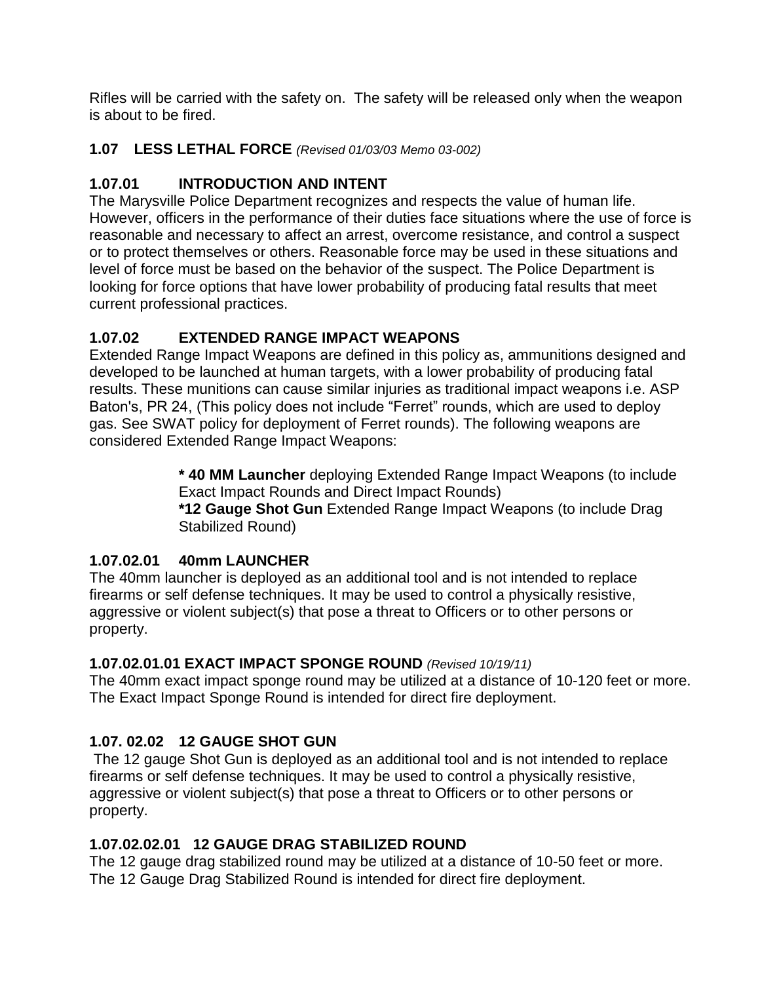Rifles will be carried with the safety on. The safety will be released only when the weapon is about to be fired.

### **1.07 LESS LETHAL FORCE** *(Revised 01/03/03 Memo 03-002)*

# **1.07.01 INTRODUCTION AND INTENT**

The Marysville Police Department recognizes and respects the value of human life. However, officers in the performance of their duties face situations where the use of force is reasonable and necessary to affect an arrest, overcome resistance, and control a suspect or to protect themselves or others. Reasonable force may be used in these situations and level of force must be based on the behavior of the suspect. The Police Department is looking for force options that have lower probability of producing fatal results that meet current professional practices.

## **1.07.02 EXTENDED RANGE IMPACT WEAPONS**

Extended Range Impact Weapons are defined in this policy as, ammunitions designed and developed to be launched at human targets, with a lower probability of producing fatal results. These munitions can cause similar injuries as traditional impact weapons i.e. ASP Baton's, PR 24, (This policy does not include "Ferret" rounds, which are used to deploy gas. See SWAT policy for deployment of Ferret rounds). The following weapons are considered Extended Range Impact Weapons:

> **\* 40 MM Launcher** deploying Extended Range Impact Weapons (to include Exact Impact Rounds and Direct Impact Rounds) **\*12 Gauge Shot Gun** Extended Range Impact Weapons (to include Drag Stabilized Round)

### **1.07.02.01 40mm LAUNCHER**

The 40mm launcher is deployed as an additional tool and is not intended to replace firearms or self defense techniques. It may be used to control a physically resistive, aggressive or violent subject(s) that pose a threat to Officers or to other persons or property.

### **1.07.02.01.01 EXACT IMPACT SPONGE ROUND** *(Revised 10/19/11)*

The 40mm exact impact sponge round may be utilized at a distance of 10-120 feet or more. The Exact Impact Sponge Round is intended for direct fire deployment.

## **1.07. 02.02 12 GAUGE SHOT GUN**

The 12 gauge Shot Gun is deployed as an additional tool and is not intended to replace firearms or self defense techniques. It may be used to control a physically resistive, aggressive or violent subject(s) that pose a threat to Officers or to other persons or property.

## **1.07.02.02.01 12 GAUGE DRAG STABILIZED ROUND**

The 12 gauge drag stabilized round may be utilized at a distance of 10-50 feet or more. The 12 Gauge Drag Stabilized Round is intended for direct fire deployment.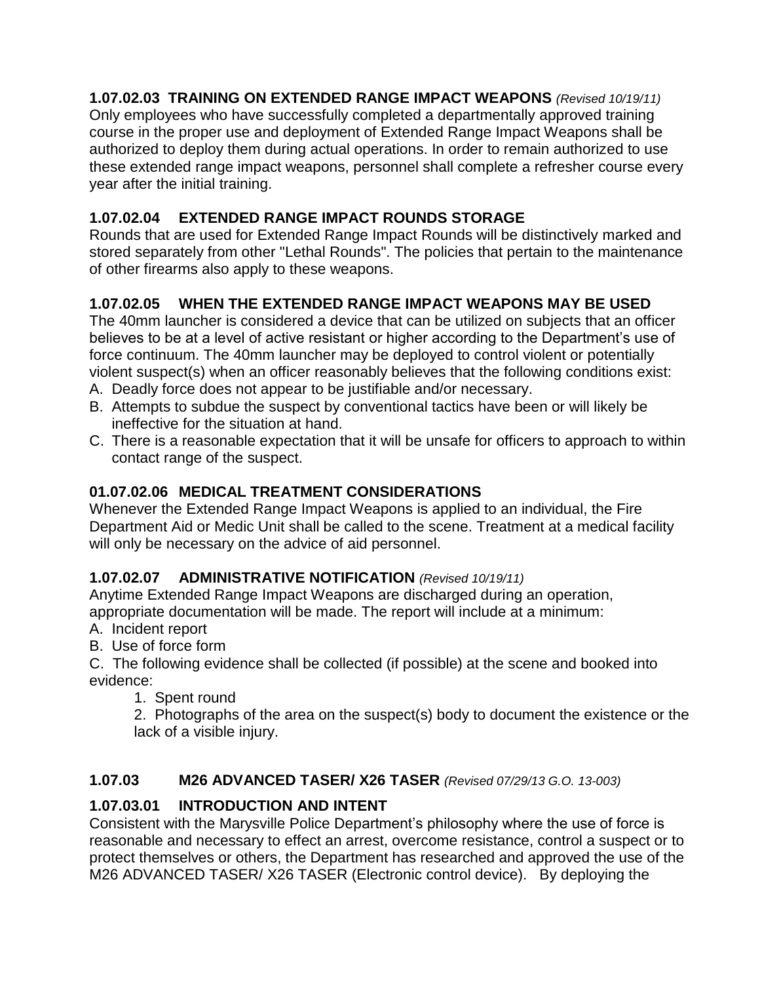### **1.07.02.03 TRAINING ON EXTENDED RANGE IMPACT WEAPONS** *(Revised 10/19/11)*

Only employees who have successfully completed a departmentally approved training course in the proper use and deployment of Extended Range Impact Weapons shall be authorized to deploy them during actual operations. In order to remain authorized to use these extended range impact weapons, personnel shall complete a refresher course every year after the initial training.

### **1.07.02.04 EXTENDED RANGE IMPACT ROUNDS STORAGE**

Rounds that are used for Extended Range Impact Rounds will be distinctively marked and stored separately from other "Lethal Rounds". The policies that pertain to the maintenance of other firearms also apply to these weapons.

## **1.07.02.05 WHEN THE EXTENDED RANGE IMPACT WEAPONS MAY BE USED**

The 40mm launcher is considered a device that can be utilized on subjects that an officer believes to be at a level of active resistant or higher according to the Department's use of force continuum. The 40mm launcher may be deployed to control violent or potentially violent suspect(s) when an officer reasonably believes that the following conditions exist:

- A. Deadly force does not appear to be justifiable and/or necessary.
- B. Attempts to subdue the suspect by conventional tactics have been or will likely be ineffective for the situation at hand.
- C. There is a reasonable expectation that it will be unsafe for officers to approach to within contact range of the suspect.

### **01.07.02.06 MEDICAL TREATMENT CONSIDERATIONS**

Whenever the Extended Range Impact Weapons is applied to an individual, the Fire Department Aid or Medic Unit shall be called to the scene. Treatment at a medical facility will only be necessary on the advice of aid personnel.

### **1.07.02.07 ADMINISTRATIVE NOTIFICATION** *(Revised 10/19/11)*

Anytime Extended Range Impact Weapons are discharged during an operation, appropriate documentation will be made. The report will include at a minimum:

- A. Incident report
- B. Use of force form

C. The following evidence shall be collected (if possible) at the scene and booked into evidence:

1. Spent round

2. Photographs of the area on the suspect(s) body to document the existence or the lack of a visible injury.

### **1.07.03 M26 ADVANCED TASER/ X26 TASER** *(Revised 07/29/13 G.O. 13-003)*

### **1.07.03.01 INTRODUCTION AND INTENT**

Consistent with the Marysville Police Department's philosophy where the use of force is reasonable and necessary to effect an arrest, overcome resistance, control a suspect or to protect themselves or others, the Department has researched and approved the use of the M26 ADVANCED TASER/ X26 TASER (Electronic control device). By deploying the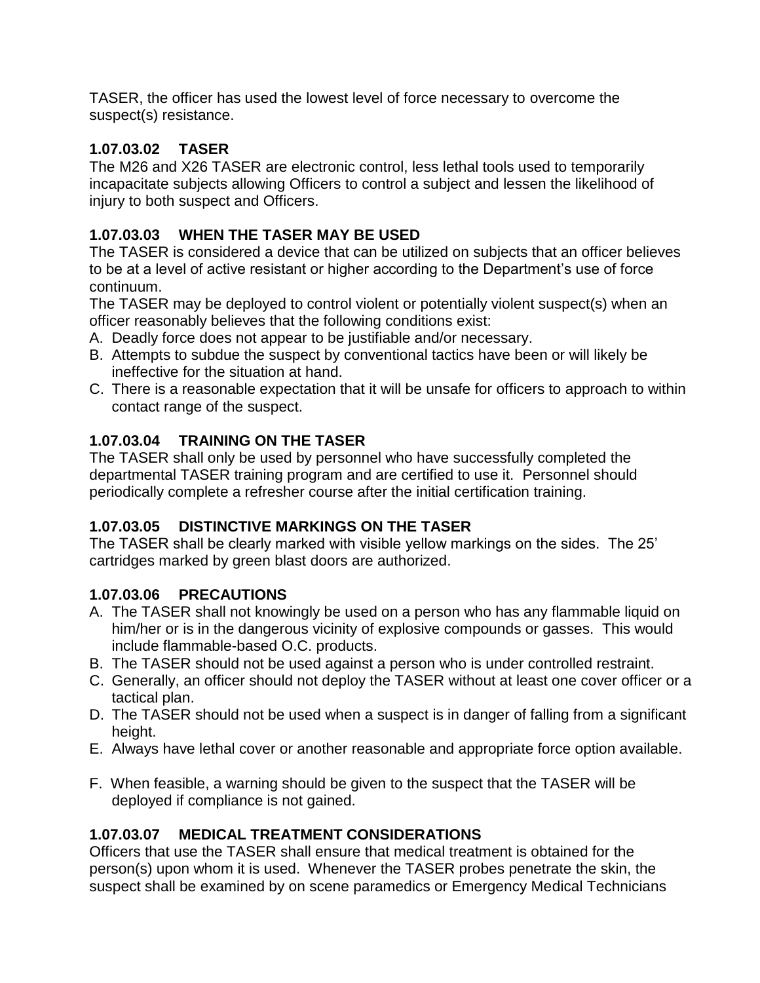TASER, the officer has used the lowest level of force necessary to overcome the suspect(s) resistance.

## **1.07.03.02 TASER**

The M26 and X26 TASER are electronic control, less lethal tools used to temporarily incapacitate subjects allowing Officers to control a subject and lessen the likelihood of injury to both suspect and Officers.

### **1.07.03.03 WHEN THE TASER MAY BE USED**

The TASER is considered a device that can be utilized on subjects that an officer believes to be at a level of active resistant or higher according to the Department's use of force continuum.

The TASER may be deployed to control violent or potentially violent suspect(s) when an officer reasonably believes that the following conditions exist:

- A. Deadly force does not appear to be justifiable and/or necessary.
- B. Attempts to subdue the suspect by conventional tactics have been or will likely be ineffective for the situation at hand.
- C. There is a reasonable expectation that it will be unsafe for officers to approach to within contact range of the suspect.

## **1.07.03.04 TRAINING ON THE TASER**

The TASER shall only be used by personnel who have successfully completed the departmental TASER training program and are certified to use it. Personnel should periodically complete a refresher course after the initial certification training.

### **1.07.03.05 DISTINCTIVE MARKINGS ON THE TASER**

The TASER shall be clearly marked with visible yellow markings on the sides. The 25' cartridges marked by green blast doors are authorized.

### **1.07.03.06 PRECAUTIONS**

- A. The TASER shall not knowingly be used on a person who has any flammable liquid on him/her or is in the dangerous vicinity of explosive compounds or gasses. This would include flammable-based O.C. products.
- B. The TASER should not be used against a person who is under controlled restraint.
- C. Generally, an officer should not deploy the TASER without at least one cover officer or a tactical plan.
- D. The TASER should not be used when a suspect is in danger of falling from a significant height.
- E. Always have lethal cover or another reasonable and appropriate force option available.
- F. When feasible, a warning should be given to the suspect that the TASER will be deployed if compliance is not gained.

### **1.07.03.07 MEDICAL TREATMENT CONSIDERATIONS**

Officers that use the TASER shall ensure that medical treatment is obtained for the person(s) upon whom it is used. Whenever the TASER probes penetrate the skin, the suspect shall be examined by on scene paramedics or Emergency Medical Technicians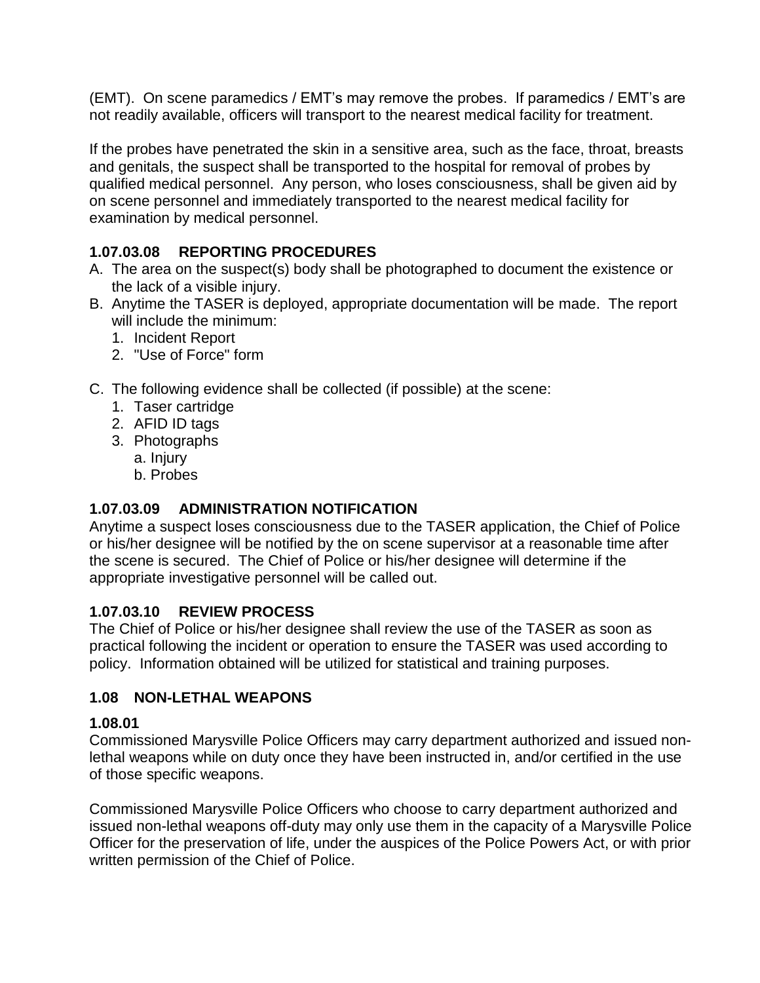(EMT). On scene paramedics / EMT's may remove the probes. If paramedics / EMT's are not readily available, officers will transport to the nearest medical facility for treatment.

If the probes have penetrated the skin in a sensitive area, such as the face, throat, breasts and genitals, the suspect shall be transported to the hospital for removal of probes by qualified medical personnel. Any person, who loses consciousness, shall be given aid by on scene personnel and immediately transported to the nearest medical facility for examination by medical personnel.

## **1.07.03.08 REPORTING PROCEDURES**

- A. The area on the suspect(s) body shall be photographed to document the existence or the lack of a visible injury.
- B. Anytime the TASER is deployed, appropriate documentation will be made. The report will include the minimum:
	- 1. Incident Report
	- 2. "Use of Force" form
- C. The following evidence shall be collected (if possible) at the scene:
	- 1. Taser cartridge
	- 2. AFID ID tags
	- 3. Photographs
		- a. Injury
		- b. Probes

### **1.07.03.09 ADMINISTRATION NOTIFICATION**

Anytime a suspect loses consciousness due to the TASER application, the Chief of Police or his/her designee will be notified by the on scene supervisor at a reasonable time after the scene is secured. The Chief of Police or his/her designee will determine if the appropriate investigative personnel will be called out.

### **1.07.03.10 REVIEW PROCESS**

The Chief of Police or his/her designee shall review the use of the TASER as soon as practical following the incident or operation to ensure the TASER was used according to policy. Information obtained will be utilized for statistical and training purposes.

### **1.08 NON-LETHAL WEAPONS**

### **1.08.01**

Commissioned Marysville Police Officers may carry department authorized and issued nonlethal weapons while on duty once they have been instructed in, and/or certified in the use of those specific weapons.

Commissioned Marysville Police Officers who choose to carry department authorized and issued non-lethal weapons off-duty may only use them in the capacity of a Marysville Police Officer for the preservation of life, under the auspices of the Police Powers Act, or with prior written permission of the Chief of Police.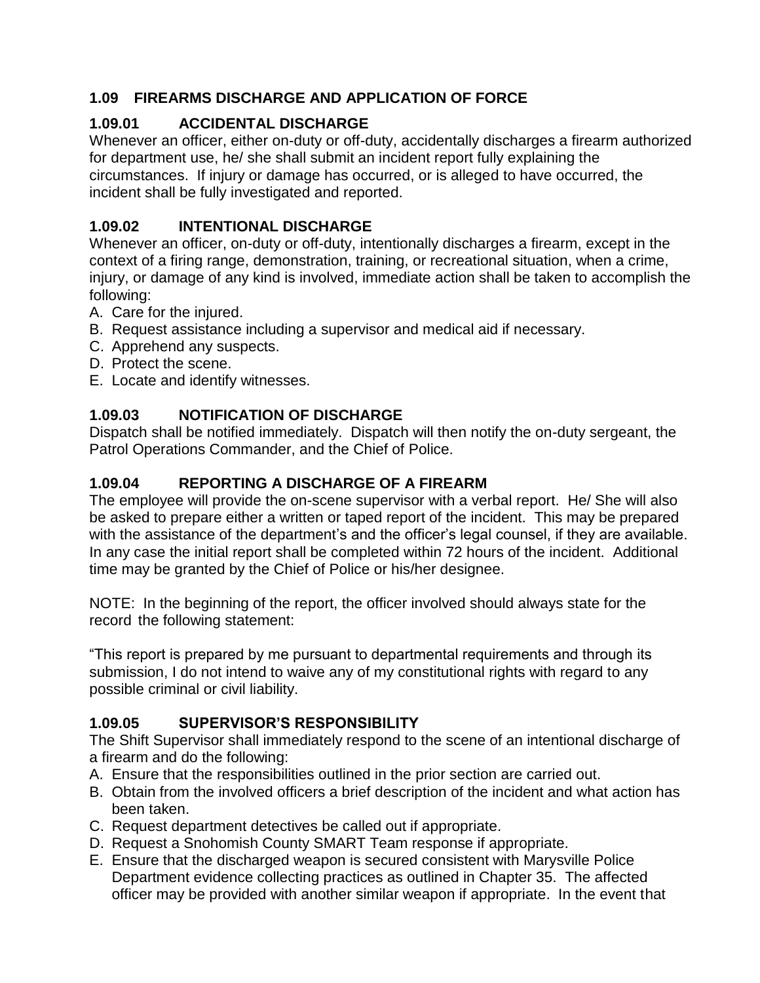### **1.09 FIREARMS DISCHARGE AND APPLICATION OF FORCE**

## **1.09.01 ACCIDENTAL DISCHARGE**

Whenever an officer, either on-duty or off-duty, accidentally discharges a firearm authorized for department use, he/ she shall submit an incident report fully explaining the circumstances. If injury or damage has occurred, or is alleged to have occurred, the incident shall be fully investigated and reported.

## **1.09.02 INTENTIONAL DISCHARGE**

Whenever an officer, on-duty or off-duty, intentionally discharges a firearm, except in the context of a firing range, demonstration, training, or recreational situation, when a crime, injury, or damage of any kind is involved, immediate action shall be taken to accomplish the following:

- A. Care for the injured.
- B. Request assistance including a supervisor and medical aid if necessary.
- C. Apprehend any suspects.
- D. Protect the scene.
- E. Locate and identify witnesses.

## **1.09.03 NOTIFICATION OF DISCHARGE**

Dispatch shall be notified immediately. Dispatch will then notify the on-duty sergeant, the Patrol Operations Commander, and the Chief of Police.

## **1.09.04 REPORTING A DISCHARGE OF A FIREARM**

The employee will provide the on-scene supervisor with a verbal report. He/ She will also be asked to prepare either a written or taped report of the incident. This may be prepared with the assistance of the department's and the officer's legal counsel, if they are available. In any case the initial report shall be completed within 72 hours of the incident. Additional time may be granted by the Chief of Police or his/her designee.

NOTE: In the beginning of the report, the officer involved should always state for the record the following statement:

"This report is prepared by me pursuant to departmental requirements and through its submission, I do not intend to waive any of my constitutional rights with regard to any possible criminal or civil liability.

## **1.09.05 SUPERVISOR'S RESPONSIBILITY**

The Shift Supervisor shall immediately respond to the scene of an intentional discharge of a firearm and do the following:

- A. Ensure that the responsibilities outlined in the prior section are carried out.
- B. Obtain from the involved officers a brief description of the incident and what action has been taken.
- C. Request department detectives be called out if appropriate.
- D. Request a Snohomish County SMART Team response if appropriate.
- E. Ensure that the discharged weapon is secured consistent with Marysville Police Department evidence collecting practices as outlined in Chapter 35. The affected officer may be provided with another similar weapon if appropriate. In the event that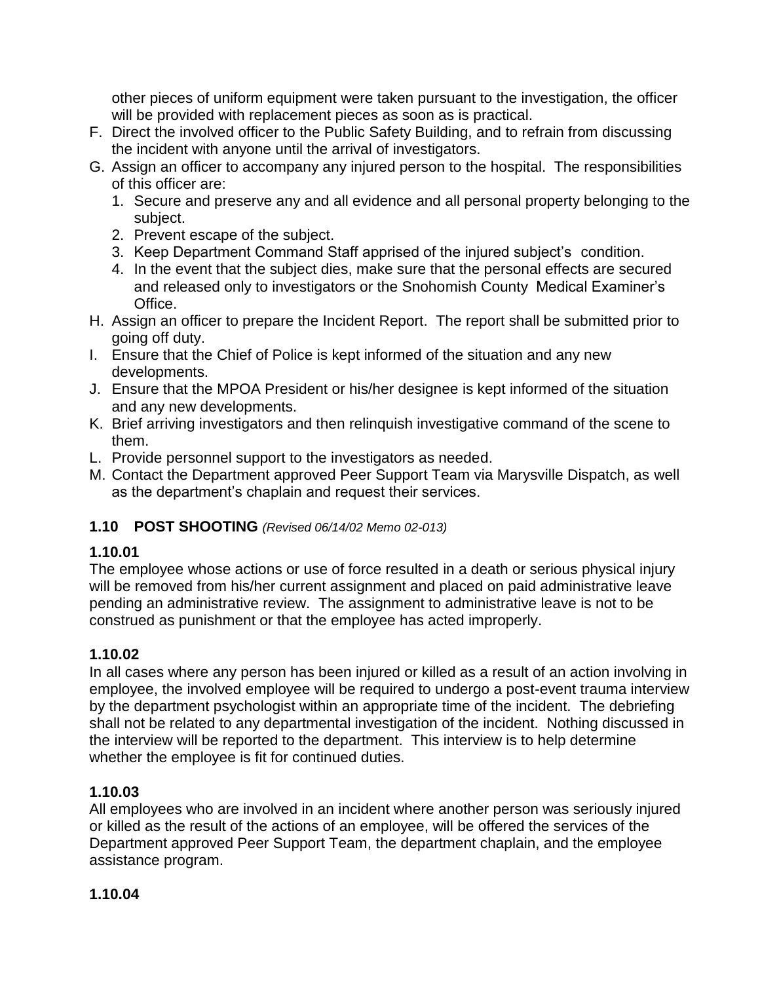other pieces of uniform equipment were taken pursuant to the investigation, the officer will be provided with replacement pieces as soon as is practical.

- F. Direct the involved officer to the Public Safety Building, and to refrain from discussing the incident with anyone until the arrival of investigators.
- G. Assign an officer to accompany any injured person to the hospital. The responsibilities of this officer are:
	- 1. Secure and preserve any and all evidence and all personal property belonging to the subject.
	- 2. Prevent escape of the subject.
	- 3. Keep Department Command Staff apprised of the injured subject's condition.
	- 4. In the event that the subject dies, make sure that the personal effects are secured and released only to investigators or the Snohomish County Medical Examiner's Office.
- H. Assign an officer to prepare the Incident Report. The report shall be submitted prior to going off duty.
- I. Ensure that the Chief of Police is kept informed of the situation and any new developments.
- J. Ensure that the MPOA President or his/her designee is kept informed of the situation and any new developments.
- K. Brief arriving investigators and then relinquish investigative command of the scene to them.
- L. Provide personnel support to the investigators as needed.
- M. Contact the Department approved Peer Support Team via Marysville Dispatch, as well as the department's chaplain and request their services.

### **1.10 POST SHOOTING** *(Revised 06/14/02 Memo 02-013)*

### **1.10.01**

The employee whose actions or use of force resulted in a death or serious physical injury will be removed from his/her current assignment and placed on paid administrative leave pending an administrative review. The assignment to administrative leave is not to be construed as punishment or that the employee has acted improperly.

## **1.10.02**

In all cases where any person has been injured or killed as a result of an action involving in employee, the involved employee will be required to undergo a post-event trauma interview by the department psychologist within an appropriate time of the incident. The debriefing shall not be related to any departmental investigation of the incident. Nothing discussed in the interview will be reported to the department. This interview is to help determine whether the employee is fit for continued duties.

## **1.10.03**

All employees who are involved in an incident where another person was seriously injured or killed as the result of the actions of an employee, will be offered the services of the Department approved Peer Support Team, the department chaplain, and the employee assistance program.

### **1.10.04**